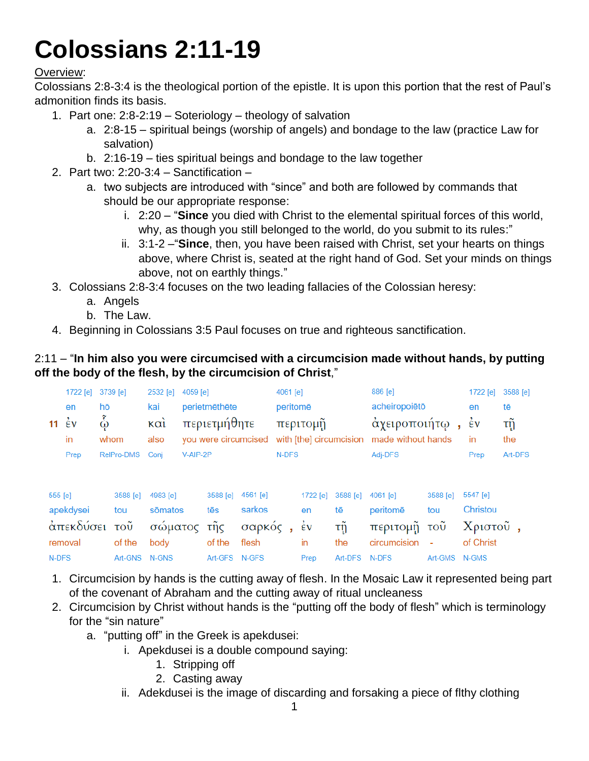# **Colossians 2:11-19**

## Overview:

Colossians 2:8-3:4 is the theological portion of the epistle. It is upon this portion that the rest of Paul's admonition finds its basis.

- 1. Part one: 2:8-2:19 Soteriology theology of salvation
	- a. 2:8-15 spiritual beings (worship of angels) and bondage to the law (practice Law for salvation)
	- b. 2:16-19 ties spiritual beings and bondage to the law together
- 2. Part two: 2:20-3:4 Sanctification
	- a. two subjects are introduced with "since" and both are followed by commands that should be our appropriate response:
		- i. 2:20 "**Since** you died with Christ to the elemental spiritual forces of this world, why, as though you still belonged to the world, do you submit to its rules:"
		- ii. 3:1-2 –"**Since**, then, you have been raised with Christ, set your hearts on things above, where Christ is, seated at the right hand of God. Set your minds on things above, not on earthly things."
- 3. Colossians 2:8-3:4 focuses on the two leading fallacies of the Colossian heresy:
	- a. Angels
	- b. The Law.
- 4. Beginning in Colossians 3:5 Paul focuses on true and righteous sanctification.

## 2:11 – "**In him also you were circumcised with a circumcision made without hands, by putting off the body of the flesh, by the circumcision of Christ**,"

|                       | 1722 [e] 3739 [e] |                 | 2532 [e] 4059 [e] |                           | $4061$ [e]                                                      | 886 [e]          | 1722 [e] $3588$ [e] |         |
|-----------------------|-------------------|-----------------|-------------------|---------------------------|-----------------------------------------------------------------|------------------|---------------------|---------|
|                       | en                | hō              | kai               | perietmēthēte             | peritomē                                                        | acheiropoiētō    | en                  | tē      |
| 11 $\dot{\epsilon}$ v |                   |                 |                   | καὶ περιετμήθητε περιτομῆ |                                                                 | άχειροποιήτω, έν |                     | τŋ      |
|                       | in                | whom            | also              |                           | you were circumcised with [the] circumcision made without hands |                  | in                  | the     |
|                       | Prep              | RelPro-DMS Conj |                   | V-AIP-2P                  | N-DFS                                                           | Adj-DFS          | Prep                | Art-DFS |

| 555 [e]                                                       | 3588 [e] 4983 [e] | 3588 [e] 4561 [e] |       | 1722 [e] 3588 [e] 4061 [e] 3588 [e] 5547 [e] |              |
|---------------------------------------------------------------|-------------------|-------------------|-------|----------------------------------------------|--------------|
| apekdysei tou sōmatos tēs sarkos                              |                   |                   | en tē | peritomē                                     | tou Christou |
| άπεκδύσει τοῦ σώματος τῆς σαρκός, ἐν τῆ περιτομῆ τοῦ Χριστοῦ, |                   |                   |       |                                              |              |
| removal of the body of the flesh in                           |                   |                   |       | the circumcision - of Christ                 |              |
| N-DFS N-                                                      | Art-GNS N-GNS     | Art-GFS N-GFS     | Prep  | Art-DFS N-DFS Art-GMS N-GMS                  |              |

- 1. Circumcision by hands is the cutting away of flesh. In the Mosaic Law it represented being part of the covenant of Abraham and the cutting away of ritual uncleaness
- 2. Circumcision by Christ without hands is the "putting off the body of flesh" which is terminology for the "sin nature"
	- a. "putting off" in the Greek is apekdusei:
		- i. Apekdusei is a double compound saying:
			- 1. Stripping off
			- 2. Casting away
		- ii. Adekdusei is the image of discarding and forsaking a piece of flthy clothing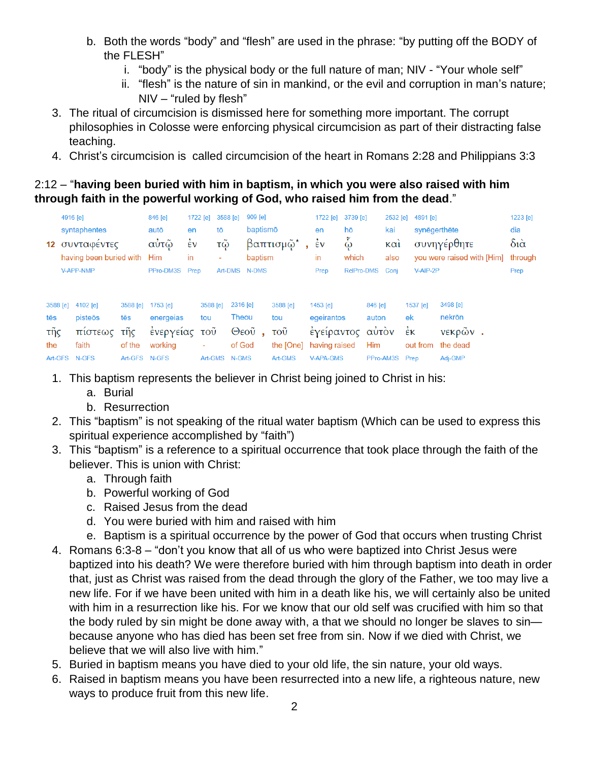- b. Both the words "body" and "flesh" are used in the phrase: "by putting off the BODY of the FLESH"
	- i. "body" is the physical body or the full nature of man; NIV "Your whole self"
	- ii. "flesh" is the nature of sin in mankind, or the evil and corruption in man's nature; NIV – "ruled by flesh"
- 3. The ritual of circumcision is dismissed here for something more important. The corrupt philosophies in Colosse were enforcing physical circumcision as part of their distracting false teaching.
- 4. Christ's circumcision is called circumcision of the heart in Romans 2:28 and Philippians 3:3

## 2:12 – "**having been buried with him in baptism, in which you were also raised with him through faith in the powerful working of God, who raised him from the dead**."

|                 | 4916 [e] |                         |                 | 846 [e]               | 1722 [e]           | 3588 [e]        |                   | 909 [e]       |                 | 1722 [e] 3739 [e]      |                 |                  | 2532 [e]  | 4891 [e]           |                            | 1223 [e]               |
|-----------------|----------|-------------------------|-----------------|-----------------------|--------------------|-----------------|-------------------|---------------|-----------------|------------------------|-----------------|------------------|-----------|--------------------|----------------------------|------------------------|
|                 |          | syntaphentes            |                 | autō                  | en                 | tō              |                   | baptismō      |                 | en                     | hō              |                  | kai       |                    | synēgerthēte               | dia                    |
|                 |          | 12 συνταφέντες          |                 | αὐτῷ                  | $\dot{\epsilon}$ v | τῷ              |                   |               | βαπτισμῷ*       | $\frac{1}{2}v$         | စ်              |                  | $K\alpha$ |                    | συνηγέρθητε                | $\delta i\dot{\alpha}$ |
|                 |          | having been buried with |                 | Him                   | in                 | ٠               |                   | baptism       |                 | in                     | which           |                  | also      |                    | you were raised with [Him] | through                |
|                 |          | V-APP-NMP               |                 | PPro-DM3S             | Prep               |                 |                   | Art-DMS N-DMS |                 | Prep                   | RelPro-DMS Conj |                  |           | V-AIP-2P           |                            | Prep                   |
| 3588 [e]<br>tēs |          | 4102 [e]<br>pisteōs     | 3588 [e]<br>tēs | 1753 [e]<br>energeias |                    | 3588 [e]<br>tou | 2316 [e]<br>Theou |               | 3588 [e]<br>tou | 1453 [e]<br>egeirantos |                 | 846 [e]<br>auton |           | 1537 [e]<br>ek     | 3498 [e]<br>nekrōn         |                        |
| τñς             |          | πίστεως τῆς             |                 | ένεργείας τοῦ         |                    |                 |                   | $\Theta$ εοῦ, | του $\tilde{v}$ | έγείραντος αυτόν       |                 |                  |           | $\dot{\epsilon}$ K | VEKDW.                     |                        |
| the             |          | faith                   | of the          | working               | ٠                  |                 | of God            |               | the [One]       | having raised          |                 | <b>Him</b>       |           |                    | out from the dead          |                        |
|                 |          | Art-GFS N-GFS           | Art-GFS N-GFS   |                       |                    | Art-GMS N-GMS   |                   |               | Art-GMS         | V-APA-GMS              |                 |                  | PPro-AM3S | Prep               | Adi-GMP                    |                        |

- 1. This baptism represents the believer in Christ being joined to Christ in his:
	- a. Burial
		- b. Resurrection
- 2. This "baptism" is not speaking of the ritual water baptism (Which can be used to express this spiritual experience accomplished by "faith")
- 3. This "baptism" is a reference to a spiritual occurrence that took place through the faith of the believer. This is union with Christ:
	- a. Through faith
	- b. Powerful working of God
	- c. Raised Jesus from the dead
	- d. You were buried with him and raised with him
	- e. Baptism is a spiritual occurrence by the power of God that occurs when trusting Christ
- 4. Romans 6:3-8 "don't you know that all of us who were baptized into Christ Jesus were baptized into his death? We were therefore buried with him through baptism into death in order that, just as Christ was raised from the dead through the glory of the Father, we too may live a new life. For if we have been united with him in a death like his, we will certainly also be united with him in a resurrection like his. For we know that our old self was crucified with him so that the body ruled by sin might be done away with, a that we should no longer be slaves to sin because anyone who has died has been set free from sin. Now if we died with Christ, we believe that we will also live with him."
- 5. Buried in baptism means you have died to your old life, the sin nature, your old ways.
- 6. Raised in baptism means you have been resurrected into a new life, a righteous nature, new ways to produce fruit from this new life.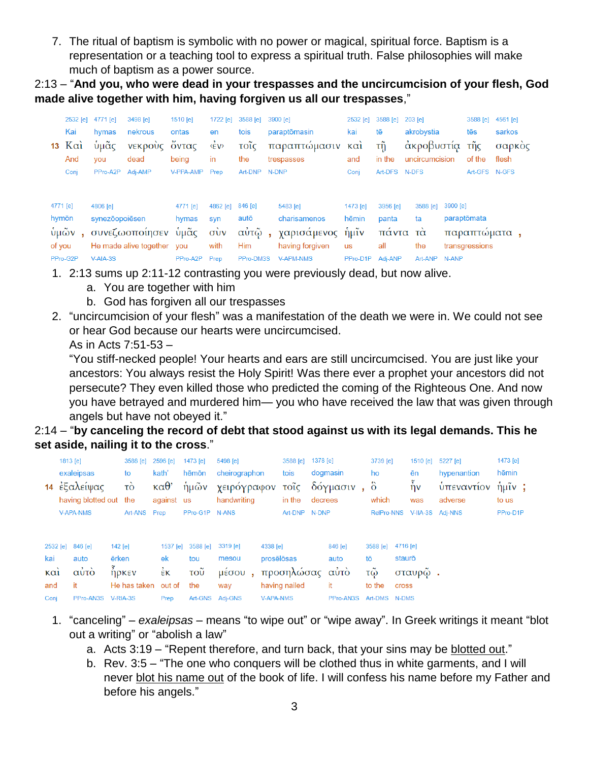7. The ritual of baptism is symbolic with no power or magical, spiritual force. Baptism is a representation or a teaching tool to express a spiritual truth. False philosophies will make much of baptism as a power source.

2:13 – "**And you, who were dead in your trespasses and the uncircumcision of your flesh, God made alive together with him, having forgiven us all our trespasses**,"

|          | 2532 [e]              | 4771 [e]         | 3498 [e]                   | 1510 [e]       | 1722 [e]                                                      | 3588 [e]      | 3900 [e]                       | 2532 [e]         | 3588 [e]      | 203 [e]                      |              | 3588 [e]       | 4561 [e]        |
|----------|-----------------------|------------------|----------------------------|----------------|---------------------------------------------------------------|---------------|--------------------------------|------------------|---------------|------------------------------|--------------|----------------|-----------------|
|          | Kai                   | hymas            | nekrous                    | ontas          | en                                                            | tois          | paraptōmasin                   | kai              | tē            | akrobystia                   |              | tēs            | sarkos          |
|          | $13 K\alpha i$<br>And | ὑμᾶς<br>vou      | νεκρούς<br>dead            | ὄντας<br>being | $\langle \mathbf{\dot{\varepsilon}} \mathbf{v} \rangle$<br>in | τοΐς<br>the   | παραπτώμασιν καὶ<br>trespasses | and              | τñ<br>in the  | ακροβυστία<br>uncircumcision |              | τῆς<br>of the  | σαρκός<br>flesh |
|          | Conj                  | PPro-A2P Adj-AMP |                            | V-PPA-AMP      | Prep                                                          | Art-DNP N-DNP |                                | Conj             | Art-DFS N-DFS |                              |              | Art-GFS N-GFS  |                 |
| 4771 [e] |                       | 4806 [e]         |                            | 4771 [e]       | 4862 [e]                                                      | 846 [e]       | 5483 [e]                       | 1473 [e]         | 3956 [e]      | 3588 [e]                     | 3900 [e]     |                |                 |
| hymōn    |                       | synezōopoiēsen   |                            | hymas          | syn                                                           | autō          | charisamenos                   | hēmin            | panta         | ta                           |              | paraptōmata    |                 |
|          | ὑμῶν                  |                  | συνεζωοποίησεν             | ὑμᾶς           | $\vec{\sigma}$                                                | αὐτῷ,         | χαρισάμενος ἡμῖν               |                  | πάντα         | $T\dot{\alpha}$              |              | παραπτωματα    |                 |
| of you   |                       |                  | He made alive together you |                | with                                                          | Him           | having forgiven                | <b>us</b>        | all           | the                          |              | transgressions |                 |
|          | PPro-G2P              | $V-AIA-3S$       |                            | PPro-A2P       | Prep                                                          | PPro-DM3S     | <b>V-APM-NMS</b>               | PPro-D1P Adi-ANP |               | Art-ANP                      | <b>N-ANP</b> |                |                 |

- 1. 2:13 sums up 2:11-12 contrasting you were previously dead, but now alive.
	- a. You are together with him
	- b. God has forgiven all our trespasses
- 2. "uncircumcision of your flesh" was a manifestation of the death we were in. We could not see or hear God because our hearts were uncircumcised.

As in Acts 7:51-53 –

"You stiff-necked people! Your hearts and ears are still uncircumcised. You are just like your ancestors: You always resist the Holy Spirit! Was there ever a prophet your ancestors did not persecute? They even killed those who predicted the coming of the Righteous One. And now you have betrayed and murdered him— you who have received the law that was given through angels but have not obeyed it."

#### 2:14 – "**by canceling the record of debt that stood against us with its legal demands. This he set aside, nailing it to the cross**."

|                           | $1813$ [e]<br>exaleipsas<br>14 έξαλείψας<br>having blotted out the<br><b>V-APA-NMS</b> | 3588 [e]<br>to<br>τò<br>Art-ANS                    | 2596 [e]<br>kath'<br>$\kappa \alpha \theta$ '<br>against us<br>Prep | 1473 [e]<br>hēmōn<br>ήμῶν<br>PPro-G1P N-ANS         | 5498 [e]<br>cheirographon<br>χειρόγραφον<br>handwriting |                                            | 3588 [e] 1378 [e]<br>tois<br>τοΐς<br>in the<br>Art-DNP N-DNP | decrees | dogmasin<br>δόγμασιν, ὃ            | 3739 [e]<br>ho<br>which<br><b>RelPro-NNS</b>    |                                    | 1510 [e]<br>ēn<br>$\tilde{\tilde{\mathsf{n}}}$ v<br>was | 5227 [e]<br>hypenantion<br><b>υπεναντίον</b><br>adverse<br>V-IIA-3S Adj-NNS | 1473 [e]<br>hēmin<br>$\mathring{\eta}$ μῖν;<br>to us<br>PPro-D1P |  |
|---------------------------|----------------------------------------------------------------------------------------|----------------------------------------------------|---------------------------------------------------------------------|-----------------------------------------------------|---------------------------------------------------------|--------------------------------------------|--------------------------------------------------------------|---------|------------------------------------|-------------------------------------------------|------------------------------------|---------------------------------------------------------|-----------------------------------------------------------------------------|------------------------------------------------------------------|--|
| kai<br>καὶ<br>and<br>Conj | 2532 [e] 846 [e]<br>auto<br>αὐτὸ<br>it.<br>PPro-AN3S V-RIA-3S                          | $142$ [e]<br>ērken<br>ήρκεν<br>He has taken out of | 1537 [e]<br>ek<br>έĸ<br>Prep                                        | 3588 [e]<br>tou<br>$\overline{\mathrm{TOU}}$<br>the | 3319 [e]<br>mesou<br>μέσου,<br>way<br>Art-GNS Adj-GNS   | 4338 [e]<br>prosēlōsas<br><b>V-APA-NMS</b> | προσηλώσας αυτό<br>having nailed                             |         | 846 [e]<br>auto<br>it<br>PPro-AN3S | 3588 [e]<br>tō<br>τῶ<br>to the<br>Art-DMS N-DMS | 4716 [e]<br>staurō<br><b>Cross</b> | σταυρώ.                                                 |                                                                             |                                                                  |  |

- 1. "canceling" *exaleipsas* means "to wipe out" or "wipe away". In Greek writings it meant "blot out a writing" or "abolish a law"
	- a. Acts 3:19 "Repent therefore, and turn back, that your sins may be blotted out."
	- b. Rev. 3:5 "The one who conquers will be clothed thus in white garments, and I will never blot his name out of the book of life. I will confess his name before my Father and before his angels."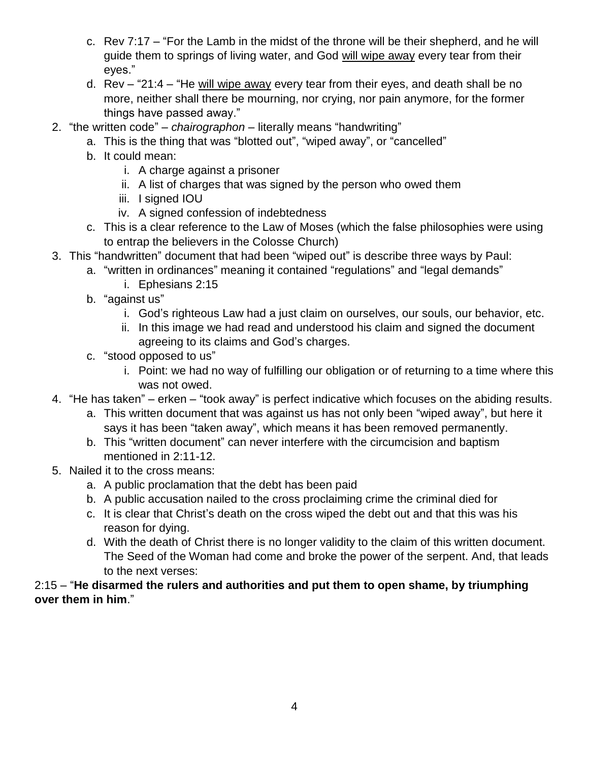- c. Rev 7:17 "For the Lamb in the midst of the throne will be their shepherd, and he will guide them to springs of living water, and God will wipe away every tear from their eyes."
- d. Rev "21:4 "He will wipe away every tear from their eyes, and death shall be no more, neither shall there be mourning, nor crying, nor pain anymore, for the former things have passed away."
- 2. "the written code" *chairographon* literally means "handwriting"
	- a. This is the thing that was "blotted out", "wiped away", or "cancelled"
	- b. It could mean:
		- i. A charge against a prisoner
		- ii. A list of charges that was signed by the person who owed them
		- iii. I signed IOU
		- iv. A signed confession of indebtedness
	- c. This is a clear reference to the Law of Moses (which the false philosophies were using to entrap the believers in the Colosse Church)
- 3. This "handwritten" document that had been "wiped out" is describe three ways by Paul:
	- a. "written in ordinances" meaning it contained "regulations" and "legal demands"
		- i. Ephesians 2:15
		- b. "against us"
			- i. God's righteous Law had a just claim on ourselves, our souls, our behavior, etc.
			- ii. In this image we had read and understood his claim and signed the document agreeing to its claims and God's charges.
		- c. "stood opposed to us"
			- i. Point: we had no way of fulfilling our obligation or of returning to a time where this was not owed.
- 4. "He has taken" erken "took away" is perfect indicative which focuses on the abiding results.
	- a. This written document that was against us has not only been "wiped away", but here it says it has been "taken away", which means it has been removed permanently.
	- b. This "written document" can never interfere with the circumcision and baptism mentioned in 2:11-12.
- 5. Nailed it to the cross means:
	- a. A public proclamation that the debt has been paid
	- b. A public accusation nailed to the cross proclaiming crime the criminal died for
	- c. It is clear that Christ's death on the cross wiped the debt out and that this was his reason for dying.
	- d. With the death of Christ there is no longer validity to the claim of this written document. The Seed of the Woman had come and broke the power of the serpent. And, that leads to the next verses:

#### 2:15 – "**He disarmed the rulers and authorities and put them to open shame, by triumphing over them in him**."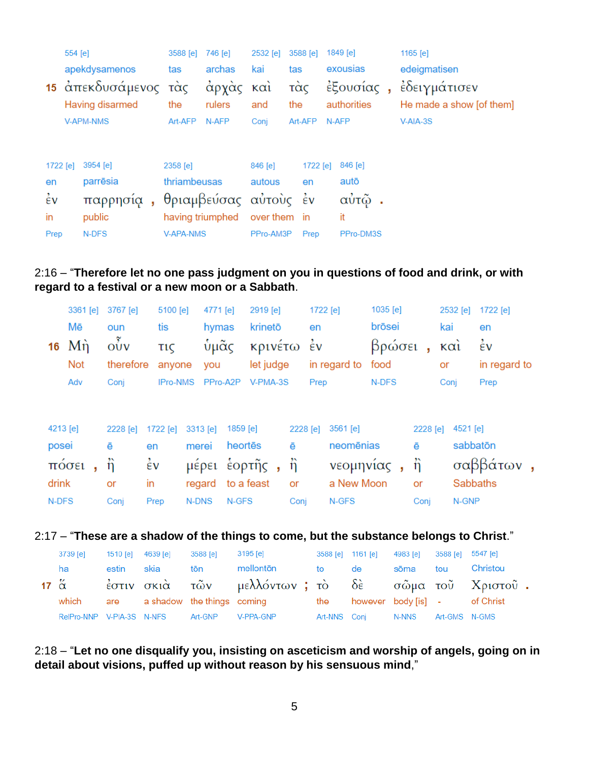|                    | 554 [e] |                                         | 3588 [e]         | 746 [e]               | 2532 [e]     | 3588 [e]   | 1849 [e]                 | 1165 $[e]$                               |
|--------------------|---------|-----------------------------------------|------------------|-----------------------|--------------|------------|--------------------------|------------------------------------------|
|                    |         | apekdysamenos                           | tas              | archas                | kai          | tas        | exousias                 | edeigmatisen                             |
|                    |         | 15 άπεκδυσάμενος τας<br>Having disarmed | the              | άρχὰς καὶ<br>rulers   | and          | τὰς<br>the | έξουσίας,<br>authorities | ἐδειγμάτισεν<br>He made a show [of them] |
|                    |         | <b>V-APM-NMS</b>                        | Art-AFP          | N-AFP                 | Conj         | Art-AFP    | N-AFP                    | V-AIA-3S                                 |
| 1722 [e]           |         | 3954 [e]                                | 2358 [e]         |                       | 846 [e]      | $1722$ [e] | 846 [e]                  |                                          |
| en                 |         | parrēsia                                | thriambeusas     |                       | autous       | en         | autō                     |                                          |
| $\dot{\epsilon}$ v |         | παρρησία                                |                  | θριαμβεύσας αύτους έν |              |            | αὐτῷ.                    |                                          |
| in                 |         | public                                  | having triumphed |                       | over them in |            | it                       |                                          |
| Prep               |         | N-DFS                                   | <b>V-APA-NMS</b> |                       | PPro-AM3P    | Prep       | PPro-DM3S                |                                          |

#### 2:16 – "**Therefore let no one pass judgment on you in questions of food and drink, or with regard to a festival or a new moon or a Sabbath**.

|          | 3361 [e]                          | 3767 [e]  | 5100 [e]        | 4771 [e]   |          | 2919 [e]   |               | 1722 [e] |              | 1035 [e] |               | 2532 [e]    | 1722 [e]        |
|----------|-----------------------------------|-----------|-----------------|------------|----------|------------|---------------|----------|--------------|----------|---------------|-------------|-----------------|
|          | Mē                                | oun       | tis             | hymas      |          | krinetō    |               | en       |              | brōsei   |               | kai         | en              |
| 16       | Mή                                | OÚV       | <b>TIC</b>      | ὑμᾶς       |          | κρινέτω έν |               |          |              | βρώσει   | ä,            | $k\alpha i$ | έν              |
|          | <b>Not</b>                        | therefore | anyone          | <b>VOU</b> |          | let judge  |               |          | in regard to | food     |               | or          | in regard to    |
|          | Adv                               | Conj      | <b>IPro-NMS</b> |            | PPro-A2P | V-PMA-3S   |               | Prep     |              | N-DFS    |               | Coni        | Prep            |
|          |                                   |           |                 |            |          |            |               |          |              |          |               |             |                 |
| 4213 [e] |                                   | 2228 [e]  | 1722 [e]        | 3313 [e]   | 1859 [e] |            | 2228 [e]      |          | $3561$ [e]   |          | 2228 [e]      | 4521 [e]    |                 |
| posei    |                                   | ē         | en              | merei      | heortes  |            | ē             |          | neomēnias    |          | ē             | sabbatōn    |                 |
|          | $\pi$ $\sigma$ $\epsilon$ $\iota$ | ñ         | $\frac{1}{2}v$  | μέρει      |          | έορτῆς,    | $\ddot{\eta}$ |          | νεομηνίας,   |          | $\ddot{\eta}$ |             | σαββάτων,       |
| drink    |                                   | or        | in              | regard     |          | to a feast | or            |          | a New Moon   |          | or            |             | <b>Sabbaths</b> |
| N-DFS    |                                   | Conj      | Prep            | N-DNS      | N-GFS    |            | Conj          |          | N-GFS        |          | Conj          | N-GNP       |                 |

## 2:17 – "**These are a shadow of the things to come, but the substance belongs to Christ**."

| 3739 [e]            |            | 1510 [e] 4639 [e] 3588 [e]        | 3195 [e]                                                               |       | 3588 [e] 1161 [e]                | 4983 [e] 3588 [e] 5547 [e] |          |
|---------------------|------------|-----------------------------------|------------------------------------------------------------------------|-------|----------------------------------|----------------------------|----------|
| ha                  | estin skia |                                   | tōn mellontōn                                                          | to de |                                  | sõma tou                   | Christou |
| 17 $\tilde{\alpha}$ |            |                                   | έστιν σκιὰ τῶν μελλόντων ; τὸ δὲ σῶμα τοῦ Χριστοῦ.                     |       |                                  |                            |          |
|                     |            |                                   | which are a shadow the things coming the however body [is] - of Christ |       |                                  |                            |          |
|                     |            | RelPro-NNP V-PIA-3S N-NFS Art-GNP | V-PPA-GNP                                                              |       | Art-NNS Conj N-NNS Art-GMS N-GMS |                            |          |

#### 2:18 – "**Let no one disqualify you, insisting on asceticism and worship of angels, going on in detail about visions, puffed up without reason by his sensuous mind**,"